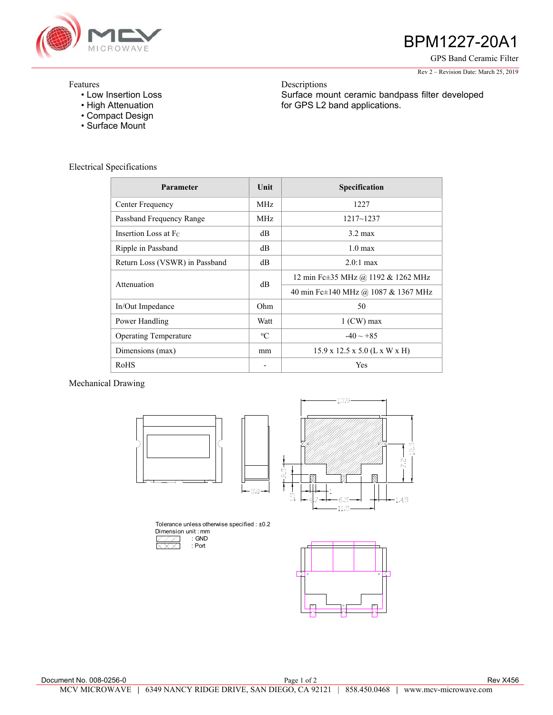

# BPM1227-20A1

GPS Band Ceramic Filter

#### Rev 2 – Revision Date: March 25, 2019

## Features

- Low Insertion Loss
- High Attenuation
- Compact Design
- Surface Mount

Descriptions Surface mount ceramic bandpass filter developed for GPS L2 band applications.

# Electrical Specifications

| Parameter                      | Unit        | Specification                             |
|--------------------------------|-------------|-------------------------------------------|
| Center Frequency               | MHz.        | 1227                                      |
| Passband Frequency Range       | MHz.        | $1217 - 1237$                             |
| Insertion Loss at Fc           | dB          | $3.2 \text{ max}$                         |
| Ripple in Passband             | dB          | $1.0 \text{ max}$                         |
| Return Loss (VSWR) in Passband | dB          | $2.0:1 \text{ max}$                       |
| Attenuation                    | dB          | 12 min Fc±35 MHz @ 1192 & 1262 MHz        |
|                                |             | 40 min Fc±140 MHz @ 1087 & 1367 MHz       |
| In/Out Impedance               | Ohm         | 50                                        |
| Power Handling                 | Watt        | $1$ (CW) max                              |
| <b>Operating Temperature</b>   | $\rm ^{o}C$ | $-40 \sim +85$                            |
| Dimensions (max)               | mm          | $15.9 \times 12.5 \times 5.0$ (L x W x H) |
| RoHS                           |             | Yes                                       |

Mechanical Drawing





Tolerance unless otherwise specified : ±0.2 Dimension unit : mm : GND **XXX**